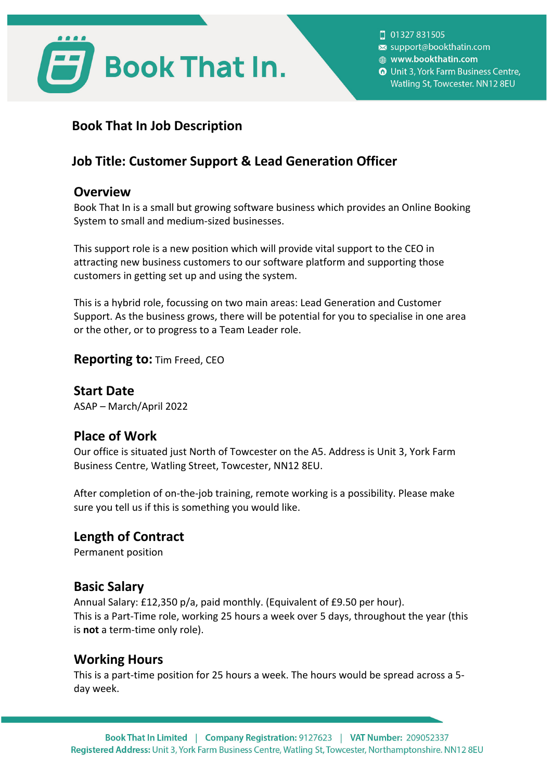

| 01327 831505 support@bookthatin.com @ www.bookthatin.com **O** Unit 3, York Farm Business Centre, Watling St, Towcester. NN12 8EU

# **Book That In Job Description**

# **Job Title: Customer Support & Lead Generation Officer**

#### **Overview**

Book That In is a small but growing software business which provides an Online Booking System to small and medium-sized businesses.

This support role is a new position which will provide vital support to the CEO in attracting new business customers to our software platform and supporting those customers in getting set up and using the system.

This is a hybrid role, focussing on two main areas: Lead Generation and Customer Support. As the business grows, there will be potential for you to specialise in one area or the other, or to progress to a Team Leader role.

#### **Reporting to:** Tim Freed, CEO

**Start Date** ASAP – March/April 2022

## **Place of Work**

Our office is situated just North of Towcester on the A5. Address is Unit 3, York Farm Business Centre, Watling Street, Towcester, NN12 8EU.

After completion of on-the-job training, remote working is a possibility. Please make sure you tell us if this is something you would like.

## **Length of Contract**

Permanent position

## **Basic Salary**

Annual Salary: £12,350 p/a, paid monthly. (Equivalent of £9.50 per hour). This is a Part-Time role, working 25 hours a week over 5 days, throughout the year (this is **not** a term-time only role).

## **Working Hours**

This is a part-time position for 25 hours a week. The hours would be spread across a 5 day week.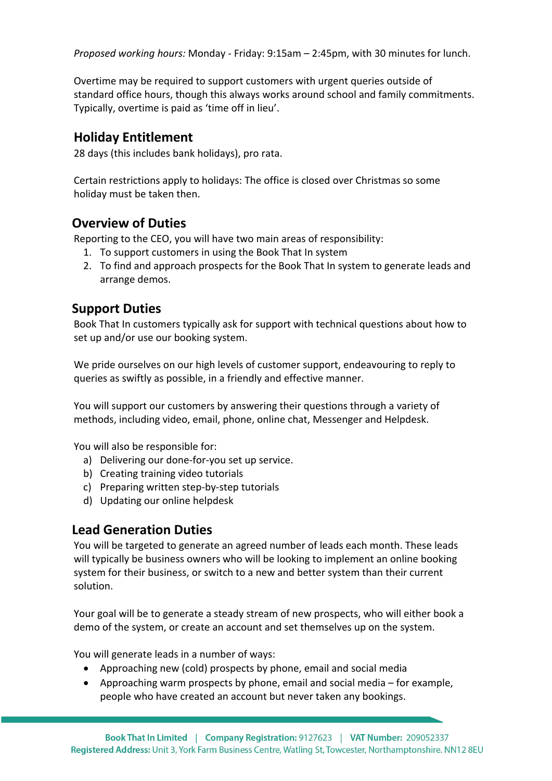*Proposed working hours:* Monday - Friday: 9:15am – 2:45pm, with 30 minutes for lunch.

Overtime may be required to support customers with urgent queries outside of standard office hours, though this always works around school and family commitments. Typically, overtime is paid as 'time off in lieu'.

#### **Holiday Entitlement**

28 days (this includes bank holidays), pro rata.

Certain restrictions apply to holidays: The office is closed over Christmas so some holiday must be taken then.

## **Overview of Duties**

Reporting to the CEO, you will have two main areas of responsibility:

- 1. To support customers in using the Book That In system
- 2. To find and approach prospects for the Book That In system to generate leads and arrange demos.

## **Support Duties**

Book That In customers typically ask for support with technical questions about how to set up and/or use our booking system.

We pride ourselves on our high levels of customer support, endeavouring to reply to queries as swiftly as possible, in a friendly and effective manner.

You will support our customers by answering their questions through a variety of methods, including video, email, phone, online chat, Messenger and Helpdesk.

You will also be responsible for:

- a) Delivering our done-for-you set up service.
- b) Creating training video tutorials
- c) Preparing written step-by-step tutorials
- d) Updating our online helpdesk

## **Lead Generation Duties**

You will be targeted to generate an agreed number of leads each month. These leads will typically be business owners who will be looking to implement an online booking system for their business, or switch to a new and better system than their current solution.

Your goal will be to generate a steady stream of new prospects, who will either book a demo of the system, or create an account and set themselves up on the system.

You will generate leads in a number of ways:

- Approaching new (cold) prospects by phone, email and social media
- Approaching warm prospects by phone, email and social media for example, people who have created an account but never taken any bookings.